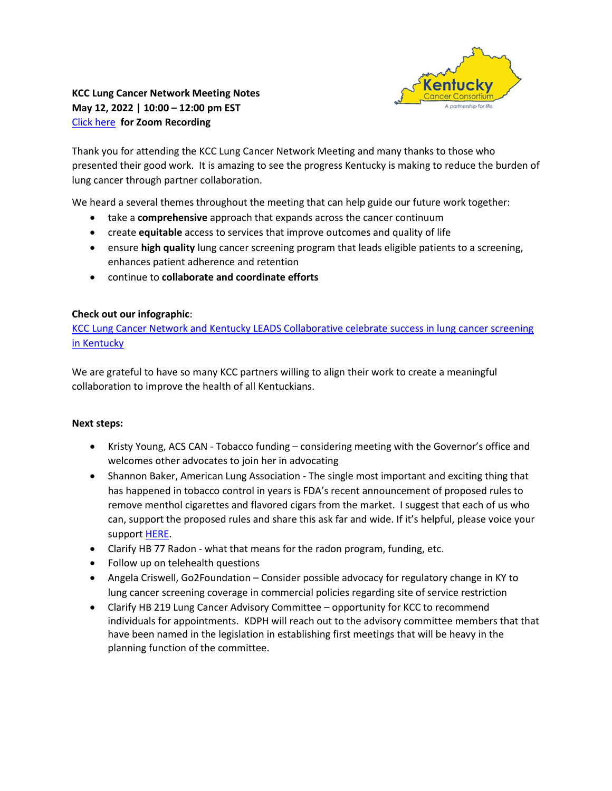

## **KCC Lung Cancer Network Meeting Notes May 12, 2022 | 10:00 – 12:00 pm EST** [Click here](https://uky.zoom.us/rec/share/7_LPrzc7gEvPMjaLKtC_26IZrvSSYR_0e0riE6LLytGIKCNXvFvSNbgfbxZNoEQp.ibFQShIECxEkvbWD) **for Zoom Recording**

Thank you for attending the KCC Lung Cancer Network Meeting and many thanks to those who presented their good work. It is amazing to see the progress Kentucky is making to reduce the burden of lung cancer through partner collaboration.

We heard a several themes throughout the meeting that can help guide our future work together:

- take a **comprehensive** approach that expands across the cancer continuum
- create **equitable** access to services that improve outcomes and quality of life
- ensure **high quality** lung cancer screening program that leads eligible patients to a screening, enhances patient adherence and retention
- continue to **collaborate and coordinate efforts**

## **Check out our infographic**:

[KCC Lung Cancer Network and Kentucky LEADS Collaborative celebrate success in lung cancer screening](https://www.kycancerc.org/wp-content/uploads/sites/14/2022/05/Lung-Network-Infographic-05122022.pdf)  [in Kentucky](https://www.kycancerc.org/wp-content/uploads/sites/14/2022/05/Lung-Network-Infographic-05122022.pdf) 

We are grateful to have so many KCC partners willing to align their work to create a meaningful collaboration to improve the health of all Kentuckians.

## **Next steps:**

- Kristy Young, ACS CAN Tobacco funding considering meeting with the Governor's office and welcomes other advocates to join her in advocating
- Shannon Baker, American Lung Association The single most important and exciting thing that has happened in tobacco control in years is FDA's recent announcement of proposed rules to remove menthol cigarettes and flavored cigars from the market. I suggest that each of us who can, support the proposed rules and share this ask far and wide. If it's helpful, please voice your suppor[t HERE.](https://nam04.safelinks.protection.outlook.com/?url=https%3A%2F%2Faction.lung.org%2Fsite%2FAdvocacy%3Fcmd%3Ddisplay%26page%3DUserAction%26id%3D8538&data=05%7C01%7CElaine.Russell%40uky.edu%7Cf6a02c82cd8c4b700df208da343435a5%7C2b30530b69b64457b818481cb53d42ae%7C0%7C0%7C637879696701721277%7CUnknown%7CTWFpbGZsb3d8eyJWIjoiMC4wLjAwMDAiLCJQIjoiV2luMzIiLCJBTiI6Ik1haWwiLCJXVCI6Mn0%3D%7C3000%7C%7C%7C&sdata=pKmOaoGhA6vHXRCKusTnzwCSs2k3%2F2YTizLN04ob1Xk%3D&reserved=0)
- Clarify HB 77 Radon what that means for the radon program, funding, etc.
- Follow up on telehealth questions
- Angela Criswell, Go2Foundation Consider possible advocacy for regulatory change in KY to lung cancer screening coverage in commercial policies regarding site of service restriction
- Clarify HB 219 Lung Cancer Advisory Committee opportunity for KCC to recommend individuals for appointments. KDPH will reach out to the advisory committee members that that have been named in the legislation in establishing first meetings that will be heavy in the planning function of the committee.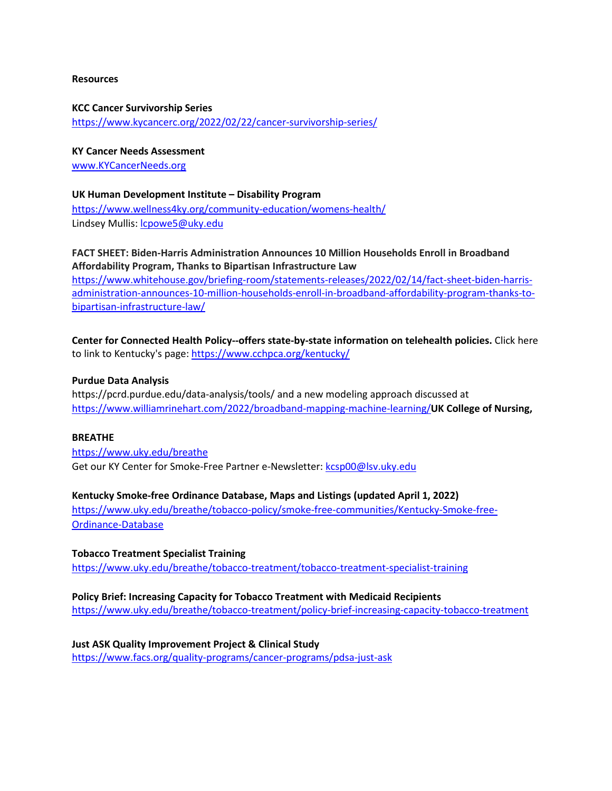#### **Resources**

**KCC Cancer Survivorship Series**  <https://www.kycancerc.org/2022/02/22/cancer-survivorship-series/>

**KY Cancer Needs Assessment** 

[www.KYCancerNeeds.org](http://www.kycancerneeds.org/) 

#### **UK Human Development Institute – Disability Program**

<https://www.wellness4ky.org/community-education/womens-health/> Lindsey Mullis: [lcpowe5@uky.edu](mailto:lcpowe5@uky.edu)

## **FACT SHEET: Biden-Harris Administration Announces 10 Million Households Enroll in Broadband Affordability Program, Thanks to Bipartisan Infrastructure Law**

[https://www.whitehouse.gov/briefing-room/statements-releases/2022/02/14/fact-sheet-biden-harris](https://www.whitehouse.gov/briefing-room/statements-releases/2022/02/14/fact-sheet-biden-harris-administration-announces-10-million-households-enroll-in-broadband-affordability-program-thanks-to-bipartisan-infrastructure-law/)[administration-announces-10-million-households-enroll-in-broadband-affordability-program-thanks-to](https://www.whitehouse.gov/briefing-room/statements-releases/2022/02/14/fact-sheet-biden-harris-administration-announces-10-million-households-enroll-in-broadband-affordability-program-thanks-to-bipartisan-infrastructure-law/)[bipartisan-infrastructure-law/](https://www.whitehouse.gov/briefing-room/statements-releases/2022/02/14/fact-sheet-biden-harris-administration-announces-10-million-households-enroll-in-broadband-affordability-program-thanks-to-bipartisan-infrastructure-law/) 

**Center for Connected Health Policy--offers state-by-state information on telehealth policies.** Click here to link to Kentucky's page[: https://www.cchpca.org/kentucky/](https://www.cchpca.org/kentucky/) 

#### **Purdue Data Analysis**

https://pcrd.purdue.edu/data-analysis/tools/ and a new modeling approach discussed at <https://www.williamrinehart.com/2022/broadband-mapping-machine-learning/>**UK College of Nursing,** 

#### **BREATHE**

<https://www.uky.edu/breathe> Get our KY Center for Smoke-Free Partner e-Newsletter[: kcsp00@lsv.uky.edu](mailto:kcsp00@lsv.uky.edu)

## **Kentucky Smoke-free Ordinance Database, Maps and Listings (updated April 1, 2022)**

[https://www.uky.edu/breathe/tobacco-policy/smoke-free-communities/Kentucky-Smoke-free-](https://www.uky.edu/breathe/tobacco-policy/smoke-free-communities/Kentucky-Smoke-free-Ordinance-Database)[Ordinance-Database](https://www.uky.edu/breathe/tobacco-policy/smoke-free-communities/Kentucky-Smoke-free-Ordinance-Database) 

**Tobacco Treatment Specialist Training**  <https://www.uky.edu/breathe/tobacco-treatment/tobacco-treatment-specialist-training>

**Policy Brief: Increasing Capacity for Tobacco Treatment with Medicaid Recipients** [https://www.uky.edu/breathe/tobacco-treatment/policy-brief-increasing-capacity-tobacco-treatment](https://nam04.safelinks.protection.outlook.com/?url=https%3A%2F%2Fwww.uky.edu%2Fbreathe%2Ftobacco-treatment%2Fpolicy-brief-increasing-capacity-tobacco-treatment&data=04%7C01%7CElaine.Russell%40uky.edu%7C55a18a140c6d44d59f4408d96982a263%7C2b30530b69b64457b818481cb53d42ae%7C0%7C0%7C637656832050142449%7CUnknown%7CTWFpbGZsb3d8eyJWIjoiMC4wLjAwMDAiLCJQIjoiV2luMzIiLCJBTiI6Ik1haWwiLCJXVCI6Mn0%3D%7C1000&sdata=uTzKLtJZ1nKB7LO9O5OB6xQyLMbx9Y4RpgOOdZvN82I%3D&reserved=0) 

**Just ASK Quality Improvement Project & Clinical Study** <https://www.facs.org/quality-programs/cancer-programs/pdsa-just-ask>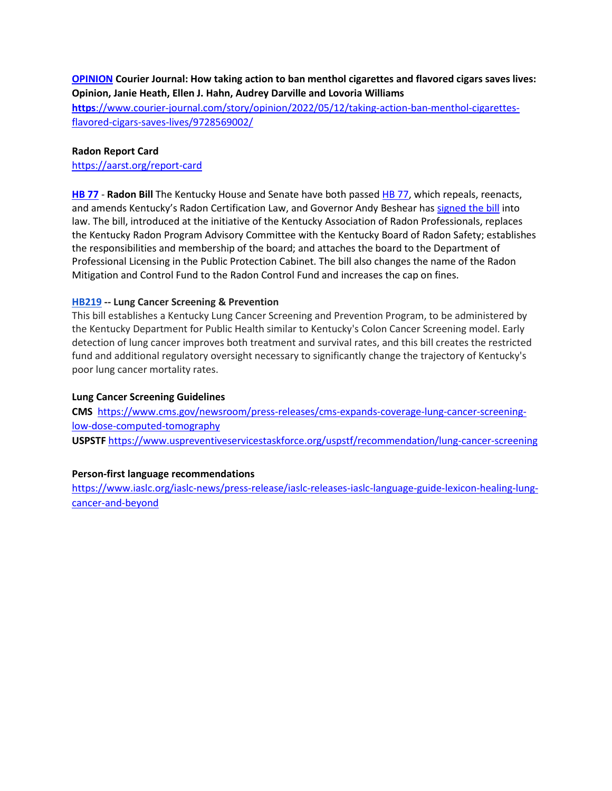## **[OPINION](https://www.courier-journal.com/opinion/) Courier Journal: How taking action to ban menthol cigarettes and flavored cigars saves lives: Opinion, Janie Heath, Ellen J. Hahn, Audrey Darville and Lovoria Williams**

**https**[://www.courier-journal.com/story/opinion/2022/05/12/taking-action-ban-menthol-cigarettes](https://www.courier-journal.com/story/opinion/2022/05/12/taking-action-ban-menthol-cigarettes-flavored-cigars-saves-lives/9728569002/)[flavored-cigars-saves-lives/9728569002/](https://www.courier-journal.com/story/opinion/2022/05/12/taking-action-ban-menthol-cigarettes-flavored-cigars-saves-lives/9728569002/) 

#### **Radon Report Card**

<https://aarst.org/report-card>

**[HB 77](https://apps.legislature.ky.gov/recorddocuments/bill/22RS/hb77/bill.pdf)** - **Radon Bill** The Kentucky House and Senate have both passe[d HB 77,](https://apps.legislature.ky.gov/recorddocuments/bill/22RS/hb77/bill.pdf) which repeals, reenacts, and amends Kentucky's Radon Certification Law, and Governor Andy Beshear has [signed the bill](https://kentucky.gov/Pages/Activity-stream.aspx?n=GovernorBeshear&prId=1260) into law. The bill, introduced at the initiative of the Kentucky Association of Radon Professionals, replaces the Kentucky Radon Program Advisory Committee with the Kentucky Board of Radon Safety; establishes the responsibilities and membership of the board; and attaches the board to the Department of Professional Licensing in the Public Protection Cabinet. The bill also changes the name of the Radon Mitigation and Control Fund to the Radon Control Fund and increases the cap on fines.

## **[HB219](https://nam04.safelinks.protection.outlook.com/?url=https%3A%2F%2Fclick.actionnetwork.org%2Fss%2Fc%2FmRNLFKyANPYkYXuUTzk_S_qlo9VxnBdUTrStH_LeIV7_hswQkx2tqF5GaCcf5c7O_Ne7mXFLtYifsEYL0X9PoZDustl0UsDLmGU1psfs258qaowjoRR8KTE2UKGYqe31j39pJm-QyPpgHC_jrXj9AIwWD6i1GyAjVlHTCOWjullUQfacaI24A4phECq_b34KIjPzLlHgDBPtKu1yK5CtLNPkCMBFjjEYi5nvWnMk_33PJDLyGxAzlGIF_lGEVXeyUs7Fkzxmxx21pth_B1muJl3lsksiB73RAp6-ceG_Wu4JrT1-J3BLL1OmEJXGV_K5Yc1lWe8BzxLXS7XOi-GAgm4qF7u9wZqPb_zTTA6EG5nUGCUE74kF7XexuIv77S-64ulJVbEyBUVCujXWNiU7meMmLXzBnbZsb7Bcg7s599o7ZmuTwITqqTlrveixkBX62_pVJL2zDWBvZSbZEINZ7LRnt1PdcLWMgmzK9pU_wIHUSq7deGb53-DPylztmWkCaCX40azrVcLGBc5GSQlNmFCbJ75m3lJO9Twe_F9lJTZeJlKnmGvoNc64C4QWDOEN5xKW1YzKA6mAH9ucoxvllSVilAho00mRwixlGSnFQZR1mIUjwIlPb_Dpr-_myTbpc_ccgUuyjCgohOuvQz2mUQRDuEEaVgpD0FuCRjl2PtXKEzSssXgp_YjbjDzdZY5CAjaq6OgwBIwdZ_Ca1w7wppCs4niY7g-nZdNCaLLWrBoyWUXNftLX78SJJuup0Anv7Y7QauG85ryKf9DSUJCGwmClp-yuOutWIVHOtqxhpthsImwrMs4cJyC5uWGTCDgt4WLPtbdViHdURvwJlzJrd83hn4wBCLMu5Y2EnhgJiTisej84TMg-8GQfOqiQYCM9lG7ESf2rBFra2R8XLma3vr6GN8iTCOxHBu8prn9tQsU31IsiWOtWMU32VIAM9lL0PF94fH20MO0h9U9xHHQMrWh5f4HW_82S-SYadd2Rp6_EvxNTqORpOQGo4nzSgZYkKoyw6Pj1344PEuClomFdjw%2F3lj%2FNQYbkWm7Sg6y6vBwJZIaPw%2Fh41%2FaVezgl2vlmxzDL7Y2ctgidJ6_N8zNx9DeDnhMjS55TM&data=05%7C01%7Celaine.russell%40uky.edu%7C3fd6253758234d0c82cc08da27b65f76%7C2b30530b69b64457b818481cb53d42ae%7C0%7C0%7C637865961651520999%7CUnknown%7CTWFpbGZsb3d8eyJWIjoiMC4wLjAwMDAiLCJQIjoiV2luMzIiLCJBTiI6Ik1haWwiLCJXVCI6Mn0%3D%7C3000%7C%7C%7C&sdata=8vmh0%2B%2BtYmxyPagTmE%2BdIRvfYQiOucn%2B6UTyyCz4l5s%3D&reserved=0) -- Lung Cancer Screening & Prevention**

This bill establishes a Kentucky Lung Cancer Screening and Prevention Program, to be administered by the Kentucky Department for Public Health similar to Kentucky's Colon Cancer Screening model. Early detection of lung cancer improves both treatment and survival rates, and this bill creates the restricted fund and additional regulatory oversight necessary to significantly change the trajectory of Kentucky's poor lung cancer mortality rates.

#### **Lung Cancer Screening Guidelines**

**CMS** [https://www.cms.gov/newsroom/press-releases/cms-expands-coverage-lung-cancer-screening](https://www.cms.gov/newsroom/press-releases/cms-expands-coverage-lung-cancer-screening-low-dose-computed-tomography)[low-dose-computed-tomography](https://www.cms.gov/newsroom/press-releases/cms-expands-coverage-lung-cancer-screening-low-dose-computed-tomography)  **USPSTF** <https://www.uspreventiveservicestaskforce.org/uspstf/recommendation/lung-cancer-screening>

## **Person-first language recommendations**

[https://www.iaslc.org/iaslc-news/press-release/iaslc-releases-iaslc-language-guide-lexicon-healing-lung](https://www.iaslc.org/iaslc-news/press-release/iaslc-releases-iaslc-language-guide-lexicon-healing-lung-cancer-and-beyond)[cancer-and-beyond](https://www.iaslc.org/iaslc-news/press-release/iaslc-releases-iaslc-language-guide-lexicon-healing-lung-cancer-and-beyond)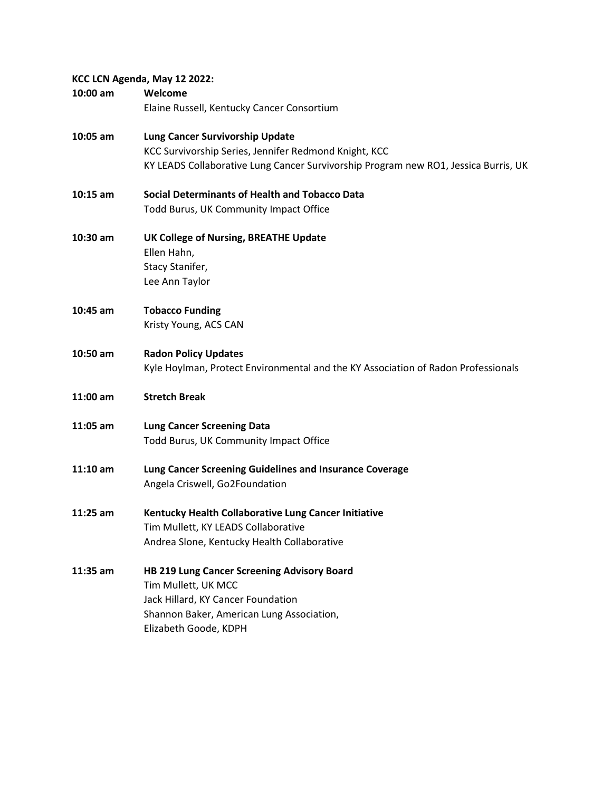## **KCC LCN Agenda, May 12 2022:**

| 10:00 am   | Welcome                                                                             |  |  |  |
|------------|-------------------------------------------------------------------------------------|--|--|--|
|            | Elaine Russell, Kentucky Cancer Consortium                                          |  |  |  |
| 10:05 am   | Lung Cancer Survivorship Update                                                     |  |  |  |
|            | KCC Survivorship Series, Jennifer Redmond Knight, KCC                               |  |  |  |
|            | KY LEADS Collaborative Lung Cancer Survivorship Program new RO1, Jessica Burris, UK |  |  |  |
| $10:15$ am | <b>Social Determinants of Health and Tobacco Data</b>                               |  |  |  |
|            | Todd Burus, UK Community Impact Office                                              |  |  |  |
| 10:30 am   | UK College of Nursing, BREATHE Update                                               |  |  |  |
|            | Ellen Hahn,                                                                         |  |  |  |
|            | Stacy Stanifer,                                                                     |  |  |  |
|            | Lee Ann Taylor                                                                      |  |  |  |
| 10:45 am   | <b>Tobacco Funding</b>                                                              |  |  |  |
|            | Kristy Young, ACS CAN                                                               |  |  |  |
| 10:50 am   | <b>Radon Policy Updates</b>                                                         |  |  |  |
|            | Kyle Hoylman, Protect Environmental and the KY Association of Radon Professionals   |  |  |  |
| 11:00 am   | <b>Stretch Break</b>                                                                |  |  |  |
| $11:05$ am | <b>Lung Cancer Screening Data</b>                                                   |  |  |  |
|            | Todd Burus, UK Community Impact Office                                              |  |  |  |
| $11:10$ am | Lung Cancer Screening Guidelines and Insurance Coverage                             |  |  |  |
|            | Angela Criswell, Go2Foundation                                                      |  |  |  |
| 11:25 am   | Kentucky Health Collaborative Lung Cancer Initiative                                |  |  |  |
|            | Tim Mullett, KY LEADS Collaborative                                                 |  |  |  |
|            | Andrea Slone, Kentucky Health Collaborative                                         |  |  |  |
| 11:35 am   | HB 219 Lung Cancer Screening Advisory Board                                         |  |  |  |
|            | Tim Mullett, UK MCC                                                                 |  |  |  |
|            | Jack Hillard, KY Cancer Foundation                                                  |  |  |  |
|            | Shannon Baker, American Lung Association,                                           |  |  |  |
|            | Elizabeth Goode, KDPH                                                               |  |  |  |
|            |                                                                                     |  |  |  |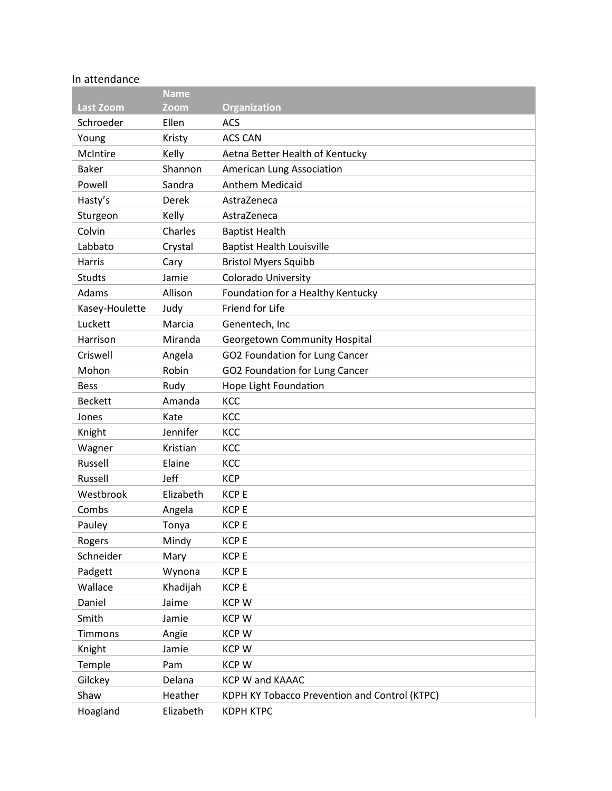# In attendance

|                  | <b>Name</b>  |                                               |
|------------------|--------------|-----------------------------------------------|
| <b>Last Zoom</b> | Zoom         | Organization                                  |
| Schroeder        | Ellen        | <b>ACS</b>                                    |
| Young            | Kristy       | <b>ACS CAN</b>                                |
| McIntire         | Kelly        | Aetna Better Health of Kentucky               |
| <b>Baker</b>     | Shannon      | American Lung Association                     |
| Powell           | Sandra       | <b>Anthem Medicaid</b>                        |
| Hasty's          | <b>Derek</b> | AstraZeneca                                   |
| Sturgeon         | Kelly        | AstraZeneca                                   |
| Colvin           | Charles      | <b>Baptist Health</b>                         |
| Labbato          | Crystal      | <b>Baptist Health Louisville</b>              |
| Harris           | Cary         | <b>Bristol Myers Squibb</b>                   |
| Studts           | Jamie        | <b>Colorado University</b>                    |
| Adams            | Allison      | Foundation for a Healthy Kentucky             |
| Kasey-Houlette   | Judy         | Friend for Life                               |
| Luckett          | Marcia       | Genentech, Inc                                |
| Harrison         | Miranda      | Georgetown Community Hospital                 |
| Criswell         | Angela       | GO2 Foundation for Lung Cancer                |
| Mohon            | Robin        | GO2 Foundation for Lung Cancer                |
| <b>Bess</b>      | Rudy         | Hope Light Foundation                         |
| <b>Beckett</b>   | Amanda       | KCC                                           |
| Jones            | Kate         | KCC                                           |
| Knight           | Jennifer     | KCC                                           |
| Wagner           | Kristian     | KCC                                           |
| Russell          | Elaine       | KCC                                           |
| Russell          | <b>Jeff</b>  | <b>KCP</b>                                    |
| Westbrook        | Elizabeth    | <b>KCP E</b>                                  |
| Combs            | Angela       | <b>KCP E</b>                                  |
| Pauley           | Tonya        | <b>KCP E</b>                                  |
| Rogers           | Mindy        | <b>KCPE</b>                                   |
| Schneider        | Mary         | <b>KCPE</b>                                   |
| Padgett          | Wynona       | <b>KCP E</b>                                  |
| Wallace          | Khadijah     | <b>KCP E</b>                                  |
| Daniel           | Jaime        | <b>KCPW</b>                                   |
| Smith            | Jamie        | <b>KCPW</b>                                   |
| Timmons          | Angie        | <b>KCPW</b>                                   |
| Knight           | Jamie        | <b>KCPW</b>                                   |
| Temple           | Pam          | <b>KCPW</b>                                   |
| Gilckey          | Delana       | KCP W and KAAAC                               |
| Shaw             | Heather      | KDPH KY Tobacco Prevention and Control (KTPC) |
| Hoagland         | Elizabeth    | <b>KDPH KTPC</b>                              |